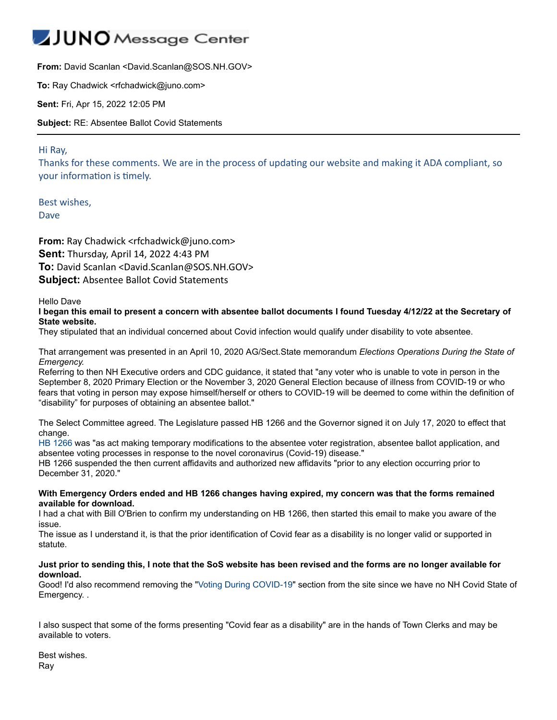## JUNO Message Center

**From:** David Scanlan <David.Scanlan@SOS.NH.GOV>

**To:** Ray Chadwick <rfchadwick@juno.com>

**Sent:** Fri, Apr 15, 2022 12:05 PM

**Subject:** RE: Absentee Ballot Covid Statements

Hi Ray,

Thanks for these comments. We are in the process of updating our website and making it ADA compliant, so your information is timely.

Best wishes, Dave

**From:** Ray Chadwick <rfchadwick@juno.com> **Sent:** Thursday, April 14, 2022 4:43 PM **To:** David Scanlan <David.Scanlan@SOS.NH.GOV> **Subject:** Absentee Ballot Covid Statements

Hello Dave

**I began this email to present a concern with absentee ballot documents I found Tuesday 4/12/22 at the Secretary of State website.**

They stipulated that an individual concerned about Covid infection would qualify under disability to vote absentee.

That arrangement was presented in an April 10, 2020 AG/Sect.State memorandum *Elections Operations During the State of Emergency.*

Referring to then NH Executive orders and CDC guidance, it stated that "any voter who is unable to vote in person in the September 8, 2020 Primary Election or the November 3, 2020 General Election because of illness from COVID-19 or who fears that voting in person may expose himself/herself or others to COVID-19 will be deemed to come within the definition of "disability" for purposes of obtaining an absentee ballot."

The Select Committee agreed. The Legislature passed HB 1266 and the Governor signed it on July 17, 2020 to effect that change.

HB [1266](https://urldefense.proofpoint.com/v2/url?u=https-3A__www.gencourt.state.nh.us_bill-5Fstatus_legacy_bs2016_billText.aspx-3Fsy-3D2020-26id-3D1843-26txtFormat-3Dhtml&d=DwMF-g&c=WZLRWjmU0vQ6jkmOu6nAYA&r=ul23nXvPujBdYIxxsxTyAe2H6IjlYxsU8gDCpMNAghk&m=GQzFmY1B0FRVFa2NpnFPd5cJRooJeJPLkZJ7gGIfsyY-bBZi-AE-a0e4LSzfZkcF&s=2csTUhil0YqRdn1hDmKZtw6xsnhJoQIHsAKHQanSlWA&e=) was "as act making temporary modifications to the absentee voter registration, absentee ballot application, and absentee voting processes in response to the novel coronavirus (Covid-19) disease."

HB 1266 suspended the then current affidavits and authorized new affidavits "prior to any election occurring prior to December 31, 2020."

## **With Emergency Orders ended and HB 1266 changes having expired, my concern was that the forms remained available for download.**

I had a chat with Bill O'Brien to confirm my understanding on HB 1266, then started this email to make you aware of the issue.

The issue as I understand it, is that the prior identification of Covid fear as a disability is no longer valid or supported in statute.

## **Just prior to sending this, I note that the SoS website has been revised and the forms are no longer available for download.**

Good! I'd also recommend removing the "[Voting During COVID-19](https://www.sos.nh.gov/elections/voters/voting-during-covid-19)" section from the site since we have no NH Covid State of Emergency. .

I also suspect that some of the forms presenting "Covid fear as a disability" are in the hands of Town Clerks and may be available to voters.

Best wishes. Ray